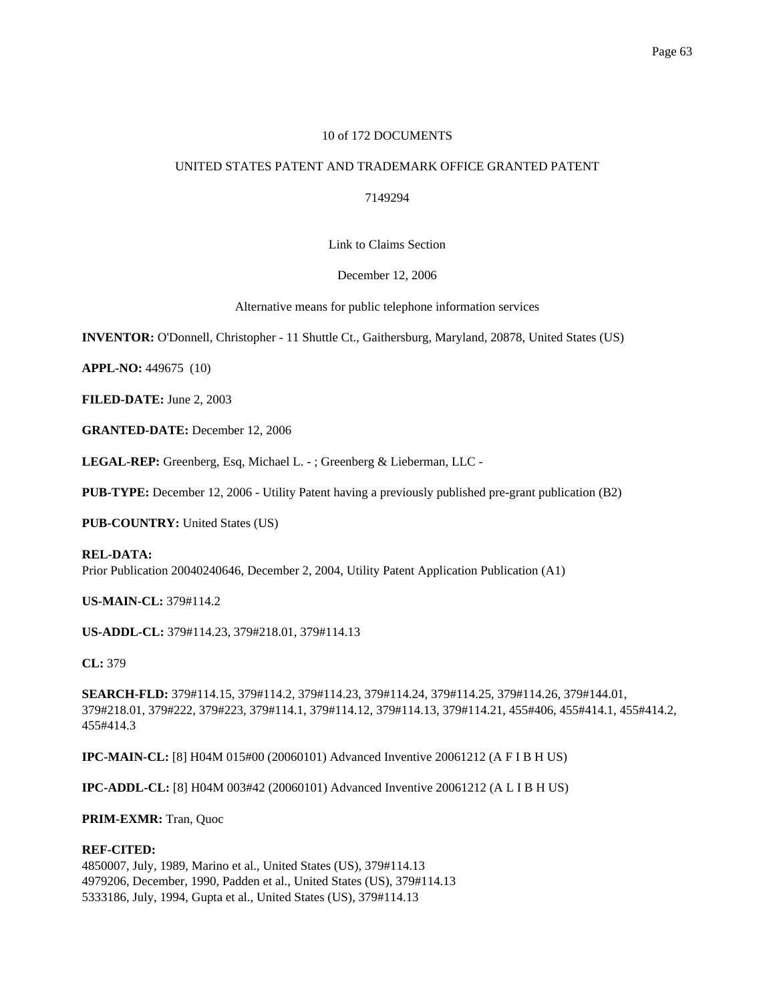## 10 of 172 DOCUMENTS

# UNITED STATES PATENT AND TRADEMARK OFFICE GRANTED PATENT

## 7149294

### Link to Claims Section

### December 12, 2006

Alternative means for public telephone information services

**INVENTOR:** O'Donnell, Christopher - 11 Shuttle Ct., Gaithersburg, Maryland, 20878, United States (US)

**APPL-NO:** 449675 (10)

**FILED-DATE:** June 2, 2003

**GRANTED-DATE:** December 12, 2006

**LEGAL-REP:** Greenberg, Esq, Michael L. - ; Greenberg & Lieberman, LLC -

**PUB-TYPE:** December 12, 2006 - Utility Patent having a previously published pre-grant publication (B2)

**PUB-COUNTRY:** United States (US)

### **REL-DATA:**

Prior Publication 20040240646, December 2, 2004, Utility Patent Application Publication (A1)

### **US-MAIN-CL:** 379#114.2

**US-ADDL-CL:** 379#114.23, 379#218.01, 379#114.13

**CL:** 379

**SEARCH-FLD:** 379#114.15, 379#114.2, 379#114.23, 379#114.24, 379#114.25, 379#114.26, 379#144.01, 379#218.01, 379#222, 379#223, 379#114.1, 379#114.12, 379#114.13, 379#114.21, 455#406, 455#414.1, 455#414.2, 455#414.3

**IPC-MAIN-CL:** [8] H04M 015#00 (20060101) Advanced Inventive 20061212 (A F I B H US)

**IPC-ADDL-CL:** [8] H04M 003#42 (20060101) Advanced Inventive 20061212 (A L I B H US)

## **PRIM-EXMR:** Tran, Quoc

### **REF-CITED:**

4850007, July, 1989, Marino et al., United States (US), 379#114.13 4979206, December, 1990, Padden et al., United States (US), 379#114.13 5333186, July, 1994, Gupta et al., United States (US), 379#114.13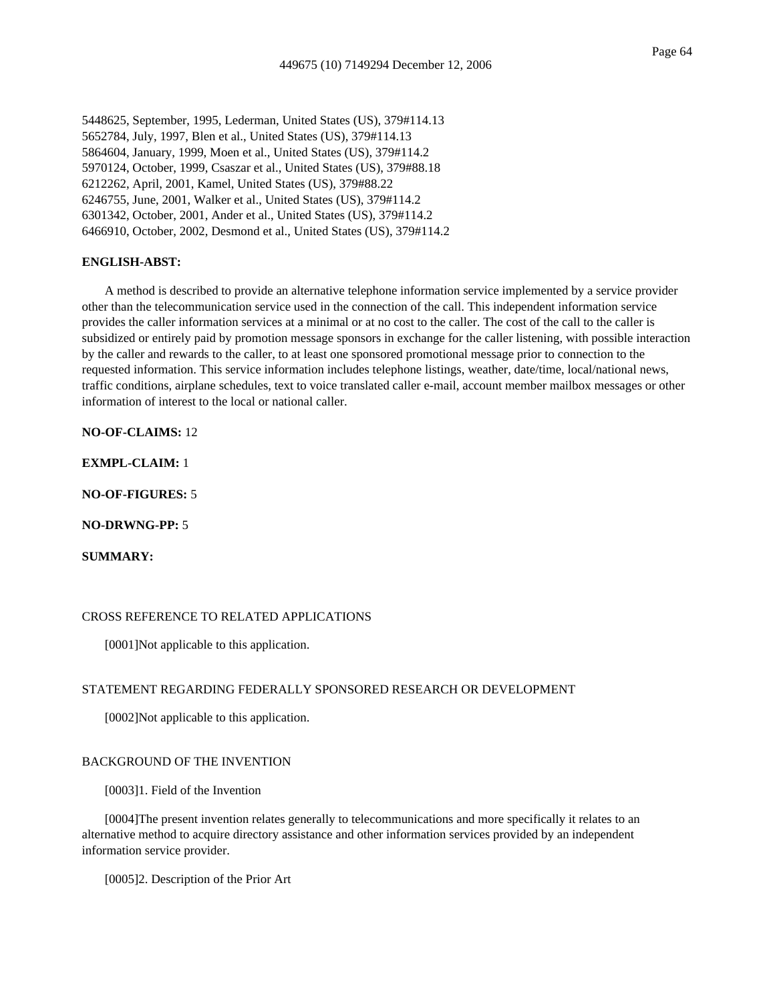5448625, September, 1995, Lederman, United States (US), 379#114.13 5652784, July, 1997, Blen et al., United States (US), 379#114.13 5864604, January, 1999, Moen et al., United States (US), 379#114.2 5970124, October, 1999, Csaszar et al., United States (US), 379#88.18 6212262, April, 2001, Kamel, United States (US), 379#88.22 6246755, June, 2001, Walker et al., United States (US), 379#114.2 6301342, October, 2001, Ander et al., United States (US), 379#114.2 6466910, October, 2002, Desmond et al., United States (US), 379#114.2

#### **ENGLISH-ABST:**

A method is described to provide an alternative telephone information service implemented by a service provider other than the telecommunication service used in the connection of the call. This independent information service provides the caller information services at a minimal or at no cost to the caller. The cost of the call to the caller is subsidized or entirely paid by promotion message sponsors in exchange for the caller listening, with possible interaction by the caller and rewards to the caller, to at least one sponsored promotional message prior to connection to the requested information. This service information includes telephone listings, weather, date/time, local/national news, traffic conditions, airplane schedules, text to voice translated caller e-mail, account member mailbox messages or other information of interest to the local or national caller.

## **NO-OF-CLAIMS:** 12

**EXMPL-CLAIM:** 1

**NO-OF-FIGURES:** 5

**NO-DRWNG-PP:** 5

**SUMMARY:**

### CROSS REFERENCE TO RELATED APPLICATIONS

[0001]Not applicable to this application.

### STATEMENT REGARDING FEDERALLY SPONSORED RESEARCH OR DEVELOPMENT

[0002]Not applicable to this application.

#### BACKGROUND OF THE INVENTION

[0003]1. Field of the Invention

[0004]The present invention relates generally to telecommunications and more specifically it relates to an alternative method to acquire directory assistance and other information services provided by an independent information service provider.

[0005]2. Description of the Prior Art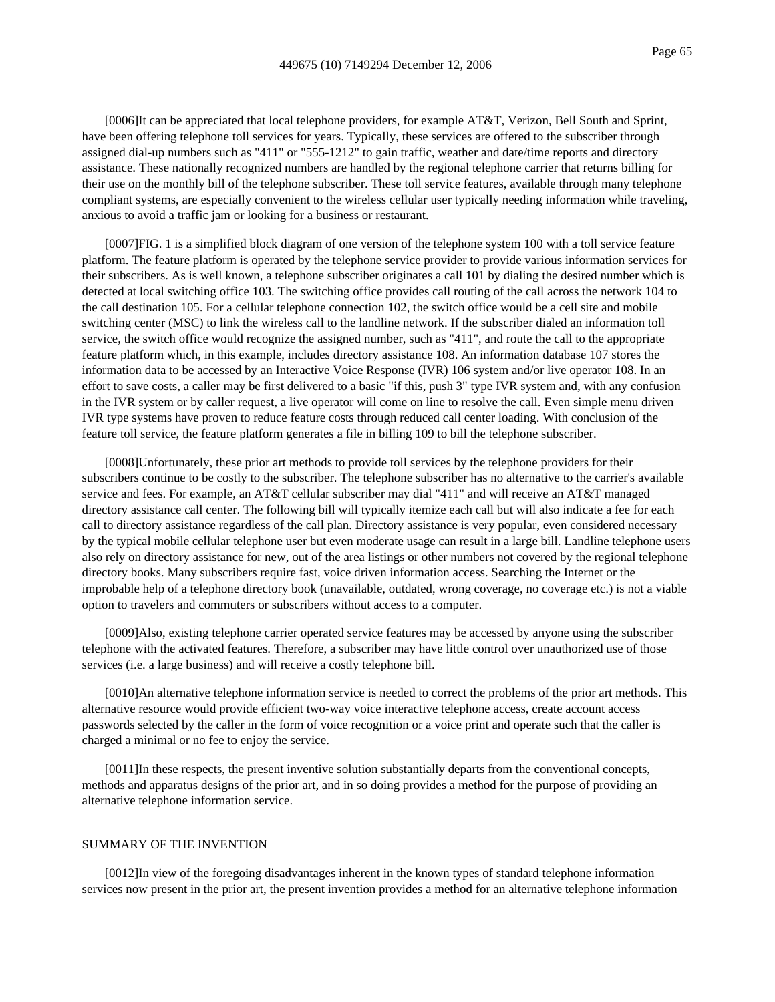[0006]It can be appreciated that local telephone providers, for example AT&T, Verizon, Bell South and Sprint, have been offering telephone toll services for years. Typically, these services are offered to the subscriber through assigned dial-up numbers such as "411" or "555-1212" to gain traffic, weather and date/time reports and directory assistance. These nationally recognized numbers are handled by the regional telephone carrier that returns billing for their use on the monthly bill of the telephone subscriber. These toll service features, available through many telephone compliant systems, are especially convenient to the wireless cellular user typically needing information while traveling, anxious to avoid a traffic jam or looking for a business or restaurant.

[0007]FIG. 1 is a simplified block diagram of one version of the telephone system 100 with a toll service feature platform. The feature platform is operated by the telephone service provider to provide various information services for their subscribers. As is well known, a telephone subscriber originates a call 101 by dialing the desired number which is detected at local switching office 103. The switching office provides call routing of the call across the network 104 to the call destination 105. For a cellular telephone connection 102, the switch office would be a cell site and mobile switching center (MSC) to link the wireless call to the landline network. If the subscriber dialed an information toll service, the switch office would recognize the assigned number, such as "411", and route the call to the appropriate feature platform which, in this example, includes directory assistance 108. An information database 107 stores the information data to be accessed by an Interactive Voice Response (IVR) 106 system and/or live operator 108. In an effort to save costs, a caller may be first delivered to a basic "if this, push 3" type IVR system and, with any confusion in the IVR system or by caller request, a live operator will come on line to resolve the call. Even simple menu driven IVR type systems have proven to reduce feature costs through reduced call center loading. With conclusion of the feature toll service, the feature platform generates a file in billing 109 to bill the telephone subscriber.

[0008]Unfortunately, these prior art methods to provide toll services by the telephone providers for their subscribers continue to be costly to the subscriber. The telephone subscriber has no alternative to the carrier's available service and fees. For example, an AT&T cellular subscriber may dial "411" and will receive an AT&T managed directory assistance call center. The following bill will typically itemize each call but will also indicate a fee for each call to directory assistance regardless of the call plan. Directory assistance is very popular, even considered necessary by the typical mobile cellular telephone user but even moderate usage can result in a large bill. Landline telephone users also rely on directory assistance for new, out of the area listings or other numbers not covered by the regional telephone directory books. Many subscribers require fast, voice driven information access. Searching the Internet or the improbable help of a telephone directory book (unavailable, outdated, wrong coverage, no coverage etc.) is not a viable option to travelers and commuters or subscribers without access to a computer.

[0009]Also, existing telephone carrier operated service features may be accessed by anyone using the subscriber telephone with the activated features. Therefore, a subscriber may have little control over unauthorized use of those services (i.e. a large business) and will receive a costly telephone bill.

[0010]An alternative telephone information service is needed to correct the problems of the prior art methods. This alternative resource would provide efficient two-way voice interactive telephone access, create account access passwords selected by the caller in the form of voice recognition or a voice print and operate such that the caller is charged a minimal or no fee to enjoy the service.

[0011]In these respects, the present inventive solution substantially departs from the conventional concepts, methods and apparatus designs of the prior art, and in so doing provides a method for the purpose of providing an alternative telephone information service.

#### SUMMARY OF THE INVENTION

[0012]In view of the foregoing disadvantages inherent in the known types of standard telephone information services now present in the prior art, the present invention provides a method for an alternative telephone information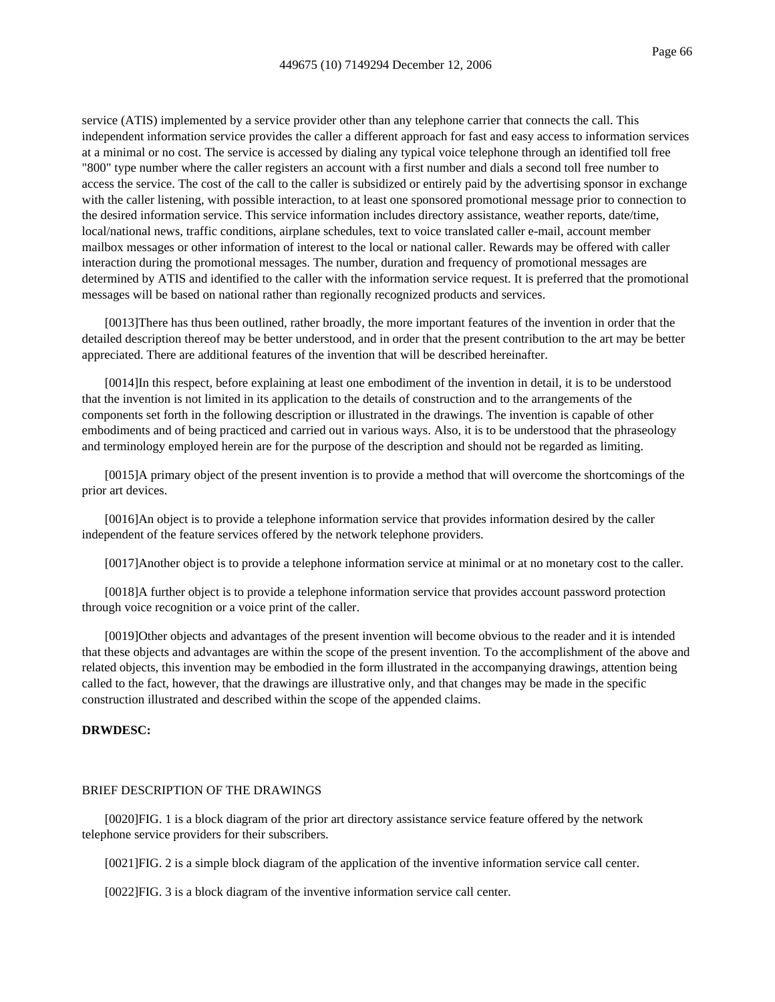service (ATIS) implemented by a service provider other than any telephone carrier that connects the call. This independent information service provides the caller a different approach for fast and easy access to information services at a minimal or no cost. The service is accessed by dialing any typical voice telephone through an identified toll free "800" type number where the caller registers an account with a first number and dials a second toll free number to access the service. The cost of the call to the caller is subsidized or entirely paid by the advertising sponsor in exchange with the caller listening, with possible interaction, to at least one sponsored promotional message prior to connection to the desired information service. This service information includes directory assistance, weather reports, date/time, local/national news, traffic conditions, airplane schedules, text to voice translated caller e-mail, account member mailbox messages or other information of interest to the local or national caller. Rewards may be offered with caller interaction during the promotional messages. The number, duration and frequency of promotional messages are determined by ATIS and identified to the caller with the information service request. It is preferred that the promotional messages will be based on national rather than regionally recognized products and services.

[0013]There has thus been outlined, rather broadly, the more important features of the invention in order that the detailed description thereof may be better understood, and in order that the present contribution to the art may be better appreciated. There are additional features of the invention that will be described hereinafter.

[0014]In this respect, before explaining at least one embodiment of the invention in detail, it is to be understood that the invention is not limited in its application to the details of construction and to the arrangements of the components set forth in the following description or illustrated in the drawings. The invention is capable of other embodiments and of being practiced and carried out in various ways. Also, it is to be understood that the phraseology and terminology employed herein are for the purpose of the description and should not be regarded as limiting.

[0015]A primary object of the present invention is to provide a method that will overcome the shortcomings of the prior art devices.

[0016]An object is to provide a telephone information service that provides information desired by the caller independent of the feature services offered by the network telephone providers.

[0017]Another object is to provide a telephone information service at minimal or at no monetary cost to the caller.

[0018]A further object is to provide a telephone information service that provides account password protection through voice recognition or a voice print of the caller.

[0019]Other objects and advantages of the present invention will become obvious to the reader and it is intended that these objects and advantages are within the scope of the present invention. To the accomplishment of the above and related objects, this invention may be embodied in the form illustrated in the accompanying drawings, attention being called to the fact, however, that the drawings are illustrative only, and that changes may be made in the specific construction illustrated and described within the scope of the appended claims.

## **DRWDESC:**

#### BRIEF DESCRIPTION OF THE DRAWINGS

[0020]FIG. 1 is a block diagram of the prior art directory assistance service feature offered by the network telephone service providers for their subscribers.

[0021]FIG. 2 is a simple block diagram of the application of the inventive information service call center.

[0022]FIG. 3 is a block diagram of the inventive information service call center.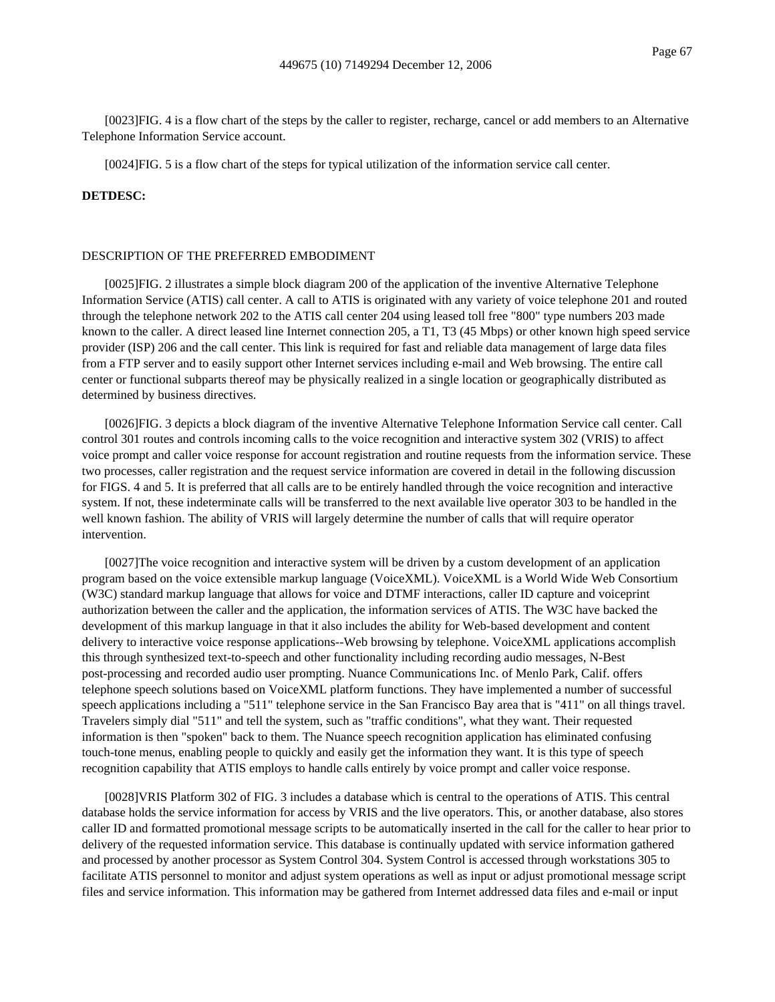[0023]FIG. 4 is a flow chart of the steps by the caller to register, recharge, cancel or add members to an Alternative Telephone Information Service account.

[0024]FIG. 5 is a flow chart of the steps for typical utilization of the information service call center.

### **DETDESC:**

#### DESCRIPTION OF THE PREFERRED EMBODIMENT

[0025]FIG. 2 illustrates a simple block diagram 200 of the application of the inventive Alternative Telephone Information Service (ATIS) call center. A call to ATIS is originated with any variety of voice telephone 201 and routed through the telephone network 202 to the ATIS call center 204 using leased toll free "800" type numbers 203 made known to the caller. A direct leased line Internet connection 205, a T1, T3 (45 Mbps) or other known high speed service provider (ISP) 206 and the call center. This link is required for fast and reliable data management of large data files from a FTP server and to easily support other Internet services including e-mail and Web browsing. The entire call center or functional subparts thereof may be physically realized in a single location or geographically distributed as determined by business directives.

[0026]FIG. 3 depicts a block diagram of the inventive Alternative Telephone Information Service call center. Call control 301 routes and controls incoming calls to the voice recognition and interactive system 302 (VRIS) to affect voice prompt and caller voice response for account registration and routine requests from the information service. These two processes, caller registration and the request service information are covered in detail in the following discussion for FIGS. 4 and 5. It is preferred that all calls are to be entirely handled through the voice recognition and interactive system. If not, these indeterminate calls will be transferred to the next available live operator 303 to be handled in the well known fashion. The ability of VRIS will largely determine the number of calls that will require operator intervention.

[0027]The voice recognition and interactive system will be driven by a custom development of an application program based on the voice extensible markup language (VoiceXML). VoiceXML is a World Wide Web Consortium (W3C) standard markup language that allows for voice and DTMF interactions, caller ID capture and voiceprint authorization between the caller and the application, the information services of ATIS. The W3C have backed the development of this markup language in that it also includes the ability for Web-based development and content delivery to interactive voice response applications--Web browsing by telephone. VoiceXML applications accomplish this through synthesized text-to-speech and other functionality including recording audio messages, N-Best post-processing and recorded audio user prompting. Nuance Communications Inc. of Menlo Park, Calif. offers telephone speech solutions based on VoiceXML platform functions. They have implemented a number of successful speech applications including a "511" telephone service in the San Francisco Bay area that is "411" on all things travel. Travelers simply dial "511" and tell the system, such as "traffic conditions", what they want. Their requested information is then "spoken" back to them. The Nuance speech recognition application has eliminated confusing touch-tone menus, enabling people to quickly and easily get the information they want. It is this type of speech recognition capability that ATIS employs to handle calls entirely by voice prompt and caller voice response.

[0028]VRIS Platform 302 of FIG. 3 includes a database which is central to the operations of ATIS. This central database holds the service information for access by VRIS and the live operators. This, or another database, also stores caller ID and formatted promotional message scripts to be automatically inserted in the call for the caller to hear prior to delivery of the requested information service. This database is continually updated with service information gathered and processed by another processor as System Control 304. System Control is accessed through workstations 305 to facilitate ATIS personnel to monitor and adjust system operations as well as input or adjust promotional message script files and service information. This information may be gathered from Internet addressed data files and e-mail or input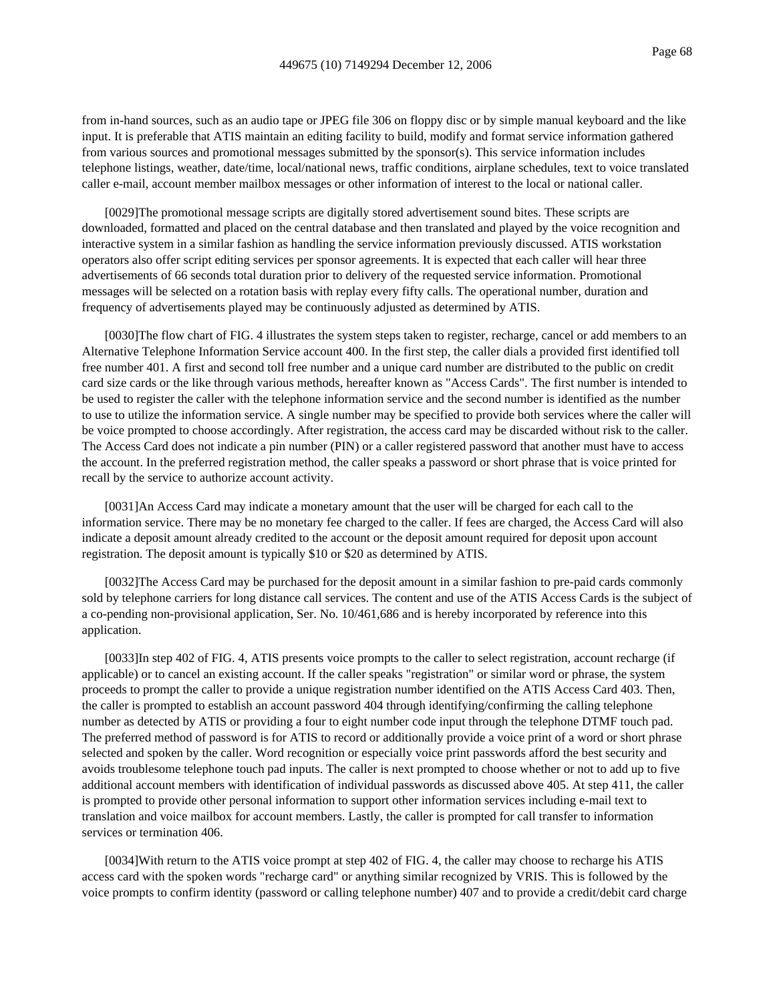from in-hand sources, such as an audio tape or JPEG file 306 on floppy disc or by simple manual keyboard and the like input. It is preferable that ATIS maintain an editing facility to build, modify and format service information gathered from various sources and promotional messages submitted by the sponsor(s). This service information includes telephone listings, weather, date/time, local/national news, traffic conditions, airplane schedules, text to voice translated caller e-mail, account member mailbox messages or other information of interest to the local or national caller.

[0029]The promotional message scripts are digitally stored advertisement sound bites. These scripts are downloaded, formatted and placed on the central database and then translated and played by the voice recognition and interactive system in a similar fashion as handling the service information previously discussed. ATIS workstation operators also offer script editing services per sponsor agreements. It is expected that each caller will hear three advertisements of 66 seconds total duration prior to delivery of the requested service information. Promotional messages will be selected on a rotation basis with replay every fifty calls. The operational number, duration and frequency of advertisements played may be continuously adjusted as determined by ATIS.

[0030]The flow chart of FIG. 4 illustrates the system steps taken to register, recharge, cancel or add members to an Alternative Telephone Information Service account 400. In the first step, the caller dials a provided first identified toll free number 401. A first and second toll free number and a unique card number are distributed to the public on credit card size cards or the like through various methods, hereafter known as "Access Cards". The first number is intended to be used to register the caller with the telephone information service and the second number is identified as the number to use to utilize the information service. A single number may be specified to provide both services where the caller will be voice prompted to choose accordingly. After registration, the access card may be discarded without risk to the caller. The Access Card does not indicate a pin number (PIN) or a caller registered password that another must have to access the account. In the preferred registration method, the caller speaks a password or short phrase that is voice printed for recall by the service to authorize account activity.

[0031]An Access Card may indicate a monetary amount that the user will be charged for each call to the information service. There may be no monetary fee charged to the caller. If fees are charged, the Access Card will also indicate a deposit amount already credited to the account or the deposit amount required for deposit upon account registration. The deposit amount is typically \$10 or \$20 as determined by ATIS.

[0032]The Access Card may be purchased for the deposit amount in a similar fashion to pre-paid cards commonly sold by telephone carriers for long distance call services. The content and use of the ATIS Access Cards is the subject of a co-pending non-provisional application, Ser. No. 10/461,686 and is hereby incorporated by reference into this application.

[0033]In step 402 of FIG. 4, ATIS presents voice prompts to the caller to select registration, account recharge (if applicable) or to cancel an existing account. If the caller speaks "registration" or similar word or phrase, the system proceeds to prompt the caller to provide a unique registration number identified on the ATIS Access Card 403. Then, the caller is prompted to establish an account password 404 through identifying/confirming the calling telephone number as detected by ATIS or providing a four to eight number code input through the telephone DTMF touch pad. The preferred method of password is for ATIS to record or additionally provide a voice print of a word or short phrase selected and spoken by the caller. Word recognition or especially voice print passwords afford the best security and avoids troublesome telephone touch pad inputs. The caller is next prompted to choose whether or not to add up to five additional account members with identification of individual passwords as discussed above 405. At step 411, the caller is prompted to provide other personal information to support other information services including e-mail text to translation and voice mailbox for account members. Lastly, the caller is prompted for call transfer to information services or termination 406.

[0034]With return to the ATIS voice prompt at step 402 of FIG. 4, the caller may choose to recharge his ATIS access card with the spoken words "recharge card" or anything similar recognized by VRIS. This is followed by the voice prompts to confirm identity (password or calling telephone number) 407 and to provide a credit/debit card charge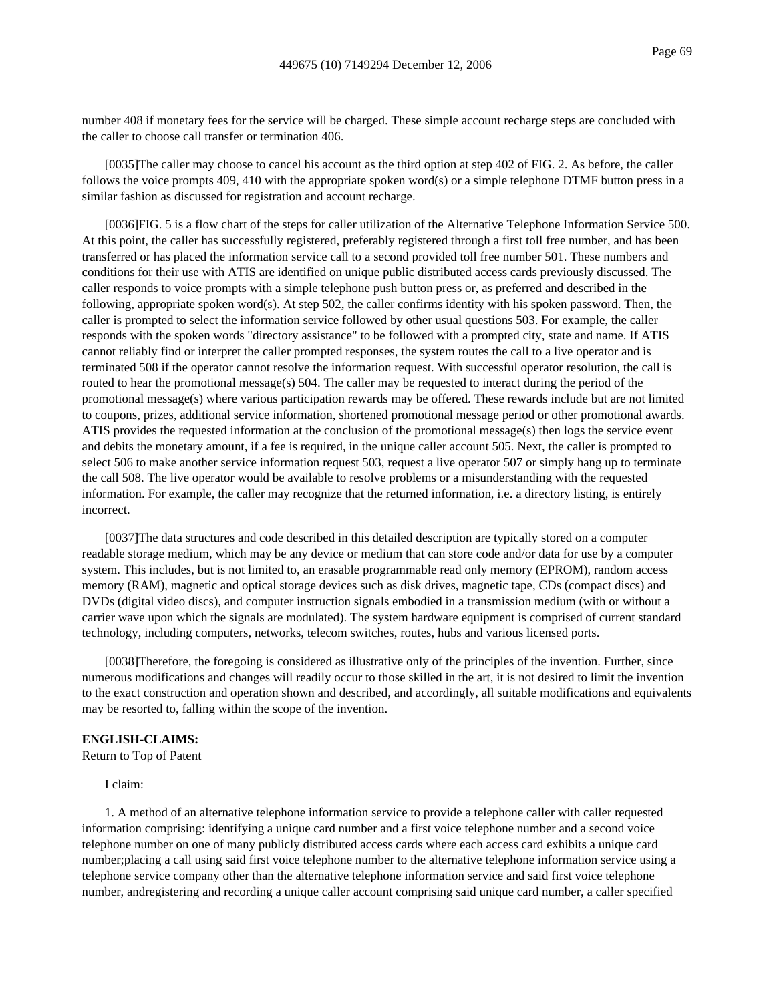number 408 if monetary fees for the service will be charged. These simple account recharge steps are concluded with the caller to choose call transfer or termination 406.

[0035]The caller may choose to cancel his account as the third option at step 402 of FIG. 2. As before, the caller follows the voice prompts 409, 410 with the appropriate spoken word(s) or a simple telephone DTMF button press in a similar fashion as discussed for registration and account recharge.

[0036]FIG. 5 is a flow chart of the steps for caller utilization of the Alternative Telephone Information Service 500. At this point, the caller has successfully registered, preferably registered through a first toll free number, and has been transferred or has placed the information service call to a second provided toll free number 501. These numbers and conditions for their use with ATIS are identified on unique public distributed access cards previously discussed. The caller responds to voice prompts with a simple telephone push button press or, as preferred and described in the following, appropriate spoken word(s). At step 502, the caller confirms identity with his spoken password. Then, the caller is prompted to select the information service followed by other usual questions 503. For example, the caller responds with the spoken words "directory assistance" to be followed with a prompted city, state and name. If ATIS cannot reliably find or interpret the caller prompted responses, the system routes the call to a live operator and is terminated 508 if the operator cannot resolve the information request. With successful operator resolution, the call is routed to hear the promotional message(s) 504. The caller may be requested to interact during the period of the promotional message(s) where various participation rewards may be offered. These rewards include but are not limited to coupons, prizes, additional service information, shortened promotional message period or other promotional awards. ATIS provides the requested information at the conclusion of the promotional message(s) then logs the service event and debits the monetary amount, if a fee is required, in the unique caller account 505. Next, the caller is prompted to select 506 to make another service information request 503, request a live operator 507 or simply hang up to terminate the call 508. The live operator would be available to resolve problems or a misunderstanding with the requested information. For example, the caller may recognize that the returned information, i.e. a directory listing, is entirely incorrect.

[0037]The data structures and code described in this detailed description are typically stored on a computer readable storage medium, which may be any device or medium that can store code and/or data for use by a computer system. This includes, but is not limited to, an erasable programmable read only memory (EPROM), random access memory (RAM), magnetic and optical storage devices such as disk drives, magnetic tape, CDs (compact discs) and DVDs (digital video discs), and computer instruction signals embodied in a transmission medium (with or without a carrier wave upon which the signals are modulated). The system hardware equipment is comprised of current standard technology, including computers, networks, telecom switches, routes, hubs and various licensed ports.

[0038]Therefore, the foregoing is considered as illustrative only of the principles of the invention. Further, since numerous modifications and changes will readily occur to those skilled in the art, it is not desired to limit the invention to the exact construction and operation shown and described, and accordingly, all suitable modifications and equivalents may be resorted to, falling within the scope of the invention.

### **ENGLISH-CLAIMS:**

Return to Top of Patent

I claim:

1. A method of an alternative telephone information service to provide a telephone caller with caller requested information comprising: identifying a unique card number and a first voice telephone number and a second voice telephone number on one of many publicly distributed access cards where each access card exhibits a unique card number;placing a call using said first voice telephone number to the alternative telephone information service using a telephone service company other than the alternative telephone information service and said first voice telephone number, andregistering and recording a unique caller account comprising said unique card number, a caller specified